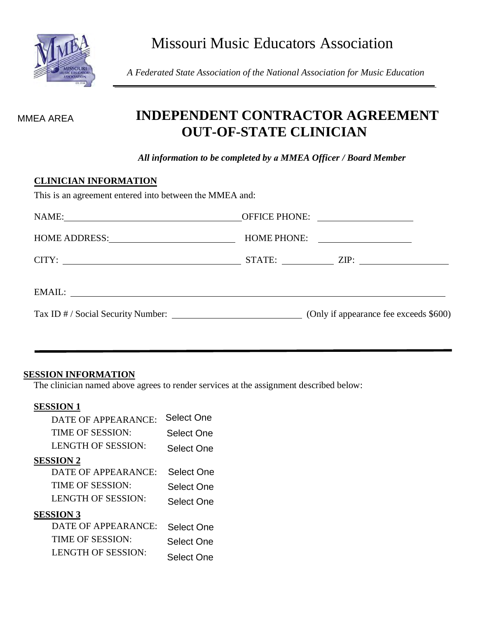*A Federated State Association of the National Association for Music Education*

# **INDEPENDENT CONTRACTOR AGREEMENT OUT-OF-STATE CLINICIAN**

*All information to be completed by a MMEA Officer / Board Member*

#### **CLINICIAN INFORMATION**

This is an agreement entered into between the MMEA and:

|        | HOME PHONE: |
|--------|-------------|
|        |             |
| EMAIL: |             |
|        |             |

#### **SESSION INFORMATION**

The clinician named above agrees to render services at the assignment described below:

#### **SESSION 1**

| MMEA AREA                    | INDEPENDE<br><b>OUT-0</b>                          |
|------------------------------|----------------------------------------------------|
|                              | All information to be                              |
| <b>CLINICIAN INFORMATION</b> |                                                    |
|                              | This is an agreement entered into between the MI   |
|                              | NAME: 2008                                         |
|                              |                                                    |
|                              |                                                    |
|                              |                                                    |
|                              |                                                    |
|                              | Tax ID # / Social Security Number: ___________     |
|                              |                                                    |
|                              |                                                    |
| <b>SESSION INFORMATION</b>   |                                                    |
|                              | The clinician named above agrees to render service |
| <b>SESSION 1</b>             |                                                    |
| DATE OF APPEARANCE:          | <b>Select One</b>                                  |
| TIME OF SESSION:             | <b>Select One</b>                                  |
| LENGTH OF SESSION:           | <b>Select One</b>                                  |
| <b>SESSION 2</b>             |                                                    |
| <b>DATE OF APPEARANCE:</b>   | <b>Select One</b>                                  |
| TIME OF SESSION:             | <b>Select One</b>                                  |
| <b>LENGTH OF SESSION:</b>    | <b>Select One</b>                                  |
| <b>SESSION 3</b>             |                                                    |
| DATE OF APPEARANCE:          | <b>Select One</b>                                  |
| TIME OF SESSION:             | Select One                                         |
| <b>LENGTH OF SESSION:</b>    | Select One                                         |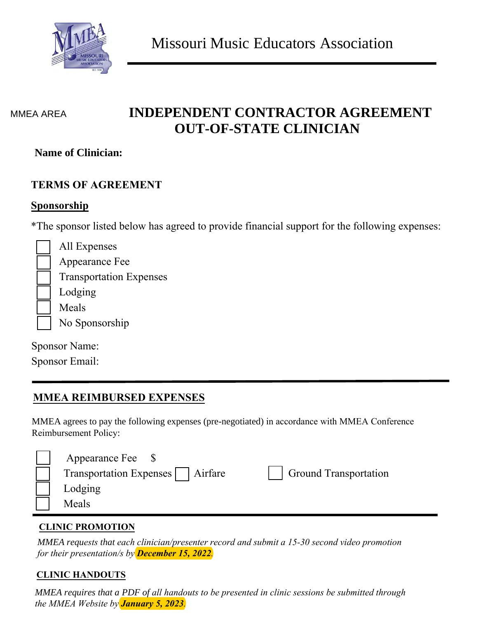

#### MMEA AREA

# **INDEPENDENT CONTRACTOR AGREEMENT OUT-OF-STATE CLINICIAN**

## **Name of Clinician:**

## **TERMS OF AGREEMENT**

# **Sponsorship**

\*The sponsor listed below has agreed to provide financial support for the following expenses:

| All Expenses                   |
|--------------------------------|
| Appearance Fee                 |
| <b>Transportation Expenses</b> |
| Lodging                        |
| Meals                          |
| No Sponsorship                 |

| <b>Sponsor Name:</b> |  |  |
|----------------------|--|--|
|                      |  |  |

Sponsor Email:

# **MMEA REIMBURSED EXPENSES**

MMEA agrees to pay the following expenses (pre-negotiated) in accordance with MMEA Conference Reimbursement Policy:

| Appearance Fee                      |                              |
|-------------------------------------|------------------------------|
| Transportation Expenses     Airfare | <b>Ground Transportation</b> |
| Lodging                             |                              |
| Meals                               |                              |

## **CLINIC PROMOTION**

*MMEA requests that each clinician/presenter record and submit a 15-30 second video promotion for their presentation/s by December 15, 2022.*

## **CLINIC HANDOUTS**

*MMEA requires that a PDF of all handouts to be presented in clinic sessions be submitted through the MMEA Website by January 5, 2023.*